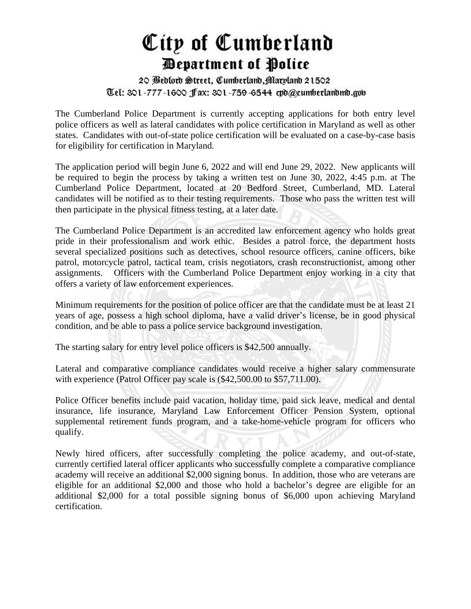## City of Cumberland *Department of Police*

## 20 Bedlord Street, Cumberland, Maryland 21502 Tel: 301-777-1600 ffax: 301-759-6544 cpd@cumberlandmd.gob

The Cumberland Police Department is currently accepting applications for both entry level police officers as well as lateral candidates with police certification in Maryland as well as other states. Candidates with out-of-state police certification will be evaluated on a case-by-case basis for eligibility for certification in Maryland.

The application period will begin June 6, 2022 and will end June 29, 2022. New applicants will be required to begin the process by taking a written test on June 30, 2022, 4:45 p.m. at The Cumberland Police Department, located at 20 Bedford Street, Cumberland, MD. Lateral candidates will be notified as to their testing requirements. Those who pass the written test will then participate in the physical fitness testing, at a later date.

The Cumberland Police Department is an accredited law enforcement agency who holds great pride in their professionalism and work ethic. Besides a patrol force, the department hosts several specialized positions such as detectives, school resource officers, canine officers, bike patrol, motorcycle patrol, tactical team, crisis negotiators, crash reconstructionist, among other assignments. Officers with the Cumberland Police Department enjoy working in a city that offers a variety of law enforcement experiences.

Minimum requirements for the position of police officer are that the candidate must be at least 21 years of age, possess a high school diploma, have a valid driver's license, be in good physical condition, and be able to pass a police service background investigation.

The starting salary for entry level police officers is \$42,500 annually.

Lateral and comparative compliance candidates would receive a higher salary commensurate with experience (Patrol Officer pay scale is  $(\$42,500.00$  to \$57,711.00).

Police Officer benefits include paid vacation, holiday time, paid sick leave, medical and dental insurance, life insurance, Maryland Law Enforcement Officer Pension System, optional supplemental retirement funds program, and a take-home-vehicle program for officers who qualify.

Newly hired officers, after successfully completing the police academy, and out-of-state, currently certified lateral officer applicants who successfully complete a comparative compliance academy will receive an additional \$2,000 signing bonus. In addition, those who are veterans are eligible for an additional \$2,000 and those who hold a bachelor's degree are eligible for an additional \$2,000 for a total possible signing bonus of \$6,000 upon achieving Maryland certification.